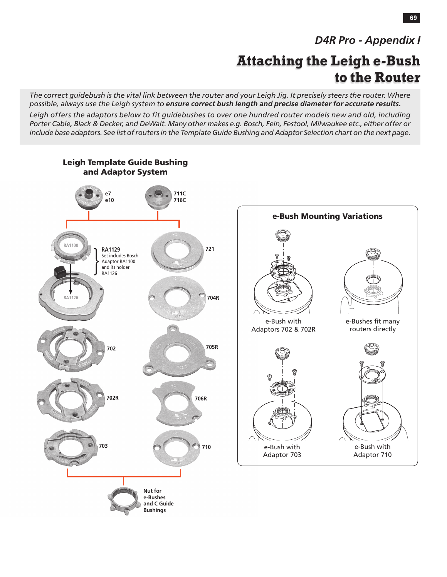## *D4R Pro - Appendix I*

# **Attaching the Leigh e-Bush to the Router**

*The correct guidebush is the vital link between the router and your Leigh Jig. It precisely steers the router. Where possible, always use the Leigh system to ensure correct bush length and precise diameter for accurate results.*

*Leigh offers the adaptors below to fit guidebushes to over one hundred router models new and old, including Porter Cable, Black & Decker, and DeWalt. Many other makes e.g. Bosch, Fein, Festool, Milwaukee etc., either offer or include base adaptors. See list of routers in the Template Guide Bushing and Adaptor Selection chart on the next page.*